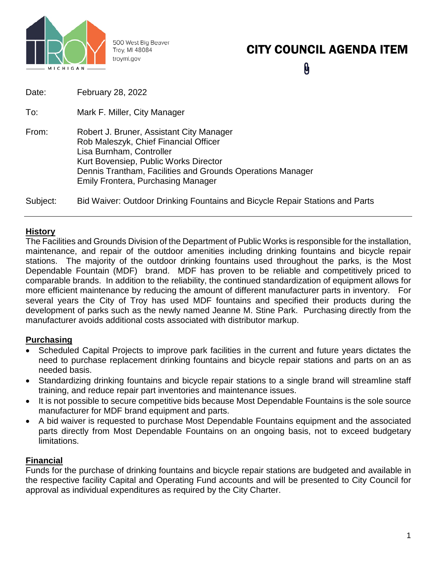

500 West Big Beaver Troy, MI 48084 troymi.gov

# CITY COUNCIL AGENDA ITEM  $\pmb{\theta}$

| Date: | February 28, 2022 |
|-------|-------------------|
|       |                   |

- To: Mark F. Miller, City Manager
- From: Robert J. Bruner, Assistant City Manager Rob Maleszyk, Chief Financial Officer Lisa Burnham, Controller Kurt Bovensiep, Public Works Director Dennis Trantham, Facilities and Grounds Operations Manager Emily Frontera, Purchasing Manager
- Subject: Bid Waiver: Outdoor Drinking Fountains and Bicycle Repair Stations and Parts

# **History**

The Facilities and Grounds Division of the Department of Public Works is responsible for the installation, maintenance, and repair of the outdoor amenities including drinking fountains and bicycle repair stations. The majority of the outdoor drinking fountains used throughout the parks, is the Most Dependable Fountain (MDF) brand. MDF has proven to be reliable and competitively priced to comparable brands. In addition to the reliability, the continued standardization of equipment allows for more efficient maintenance by reducing the amount of different manufacturer parts in inventory. For several years the City of Troy has used MDF fountains and specified their products during the development of parks such as the newly named Jeanne M. Stine Park. Purchasing directly from the manufacturer avoids additional costs associated with distributor markup.

# **Purchasing**

- Scheduled Capital Projects to improve park facilities in the current and future years dictates the need to purchase replacement drinking fountains and bicycle repair stations and parts on an as needed basis.
- Standardizing drinking fountains and bicycle repair stations to a single brand will streamline staff training, and reduce repair part inventories and maintenance issues.
- It is not possible to secure competitive bids because Most Dependable Fountains is the sole source manufacturer for MDF brand equipment and parts.
- A bid waiver is requested to purchase Most Dependable Fountains equipment and the associated parts directly from Most Dependable Fountains on an ongoing basis, not to exceed budgetary limitations.

#### **Financial**

Funds for the purchase of drinking fountains and bicycle repair stations are budgeted and available in the respective facility Capital and Operating Fund accounts and will be presented to City Council for approval as individual expenditures as required by the City Charter.